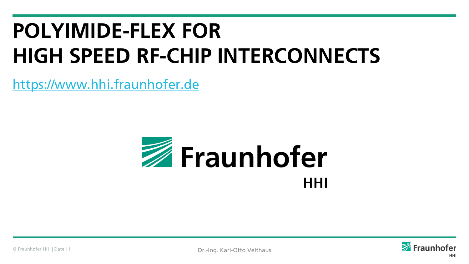# **POLYIMIDE-FLEX FOR HIGH SPEED RF-CHIP INTERCONNECTS**

[https://www.hhi.fraunhofer.de](https://www.hhi.fraunhofer.de/)



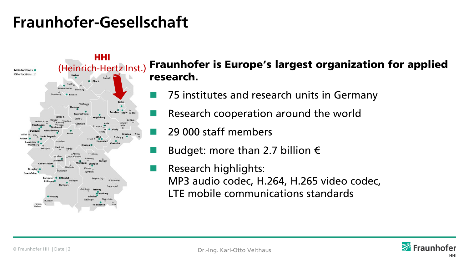## **Fraunhofer-Gesellschaft**



#### Fraunhofer is Europe's largest organization for applied research.

- 75 institutes and research units in Germany
- Research cooperation around the world
- 29 000 staff members
- Budget: more than 2.7 billion  $\epsilon$
- Research highlights: MP3 audio codec, H.264, H.265 video codec, LTE mobile communications standards

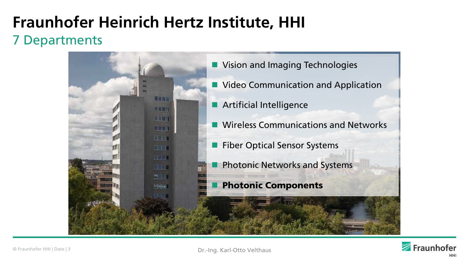## **Fraunhofer Heinrich Hertz Institute, HHI** 7 Departments



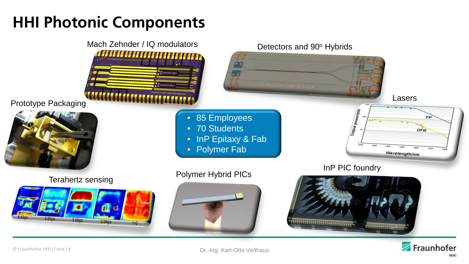## **HHI Photonic Components**

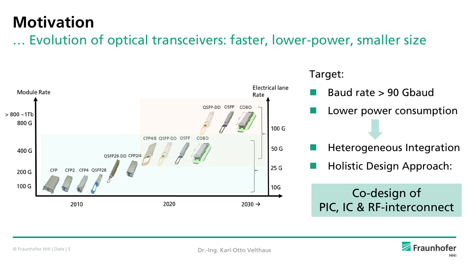## **Motivation**

… Evolution of optical transceivers: faster, lower-power, smaller size



#### Target:

- Baud rate > 90 Gbaud
- Lower power consumption
- Heterogeneous Integration
- Holistic Design Approach:

## Co-design of PIC, IC & RF-interconnect

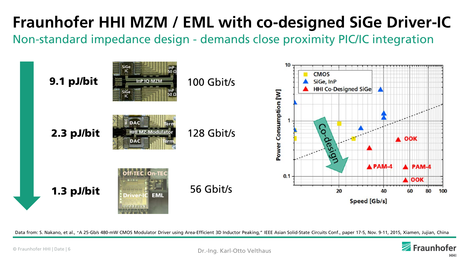# **Fraunhofer HHI MZM / EML with co-designed SiGe Driver-IC**

Non-standard impedance design - demands close proximity PIC/IC integration



Data from: S. Nakano, et al., "A 25-Gb/s 480-mW CMOS Modulator Driver using Area-Efficient 3D Inductor Peaking," IEEE Asian Solid-State Circuits Conf., paper 17-5, Nov. 9-11, 2015, Xiamen, Jujian, China

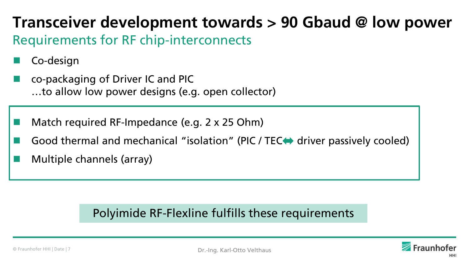## **Transceiver development towards > 90 Gbaud @ low power** Requirements for RF chip-interconnects

- Co-design
- co-packaging of Driver IC and PIC …to allow low power designs (e.g. open collector)
- Match required RF-Impedance (e.g. 2 x 25 Ohm)
- Good thermal and mechanical "isolation" (PIC / TEC driver passively cooled)
- Multiple channels (array)

### Polyimide RF-Flexline fulfills these requirements

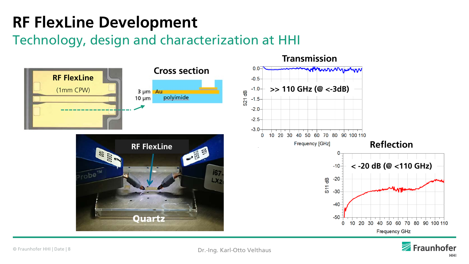# **RF FlexLine Development**

Technology, design and characterization at HHI



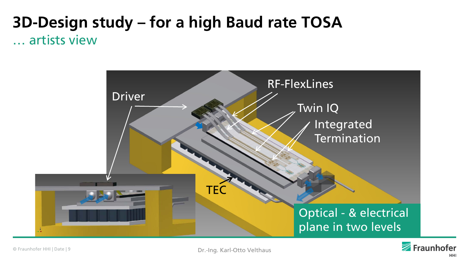## **3D-Design study – for a high Baud rate TOSA** … artists view



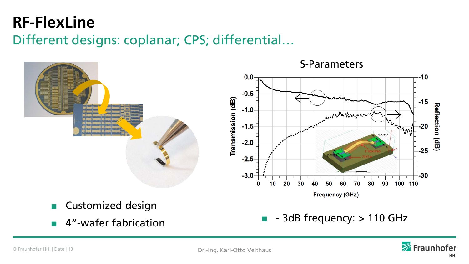## **RF-FlexLine**

Different designs: coplanar; CPS; differential…